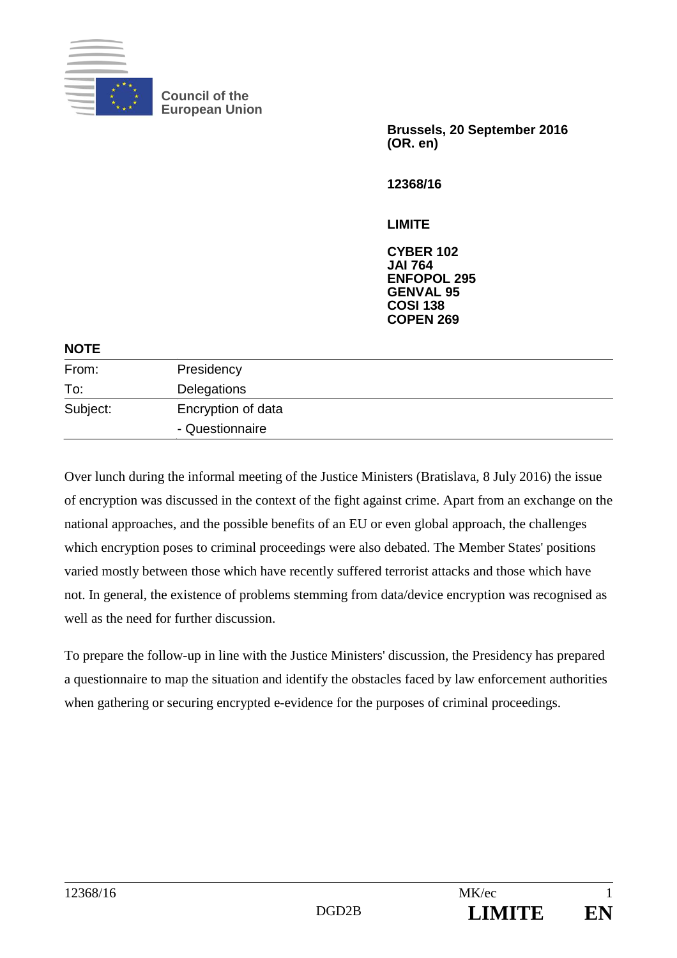

**Council of the European Union** 

> **Brussels, 20 September 2016 (OR. en)**

**12368/16** 

#### **LIMITE**

**CYBER 102 JAI 764 ENFOPOL 295 GENVAL 95 COSI 138 COPEN 269**

#### **NOTE**

| From:    | Presidency         |  |
|----------|--------------------|--|
| To:      | Delegations        |  |
| Subject: | Encryption of data |  |
|          | - Questionnaire    |  |

Over lunch during the informal meeting of the Justice Ministers (Bratislava, 8 July 2016) the issue of encryption was discussed in the context of the fight against crime. Apart from an exchange on the national approaches, and the possible benefits of an EU or even global approach, the challenges which encryption poses to criminal proceedings were also debated. The Member States' positions varied mostly between those which have recently suffered terrorist attacks and those which have not. In general, the existence of problems stemming from data/device encryption was recognised as well as the need for further discussion.

To prepare the follow-up in line with the Justice Ministers' discussion, the Presidency has prepared a questionnaire to map the situation and identify the obstacles faced by law enforcement authorities when gathering or securing encrypted e-evidence for the purposes of criminal proceedings.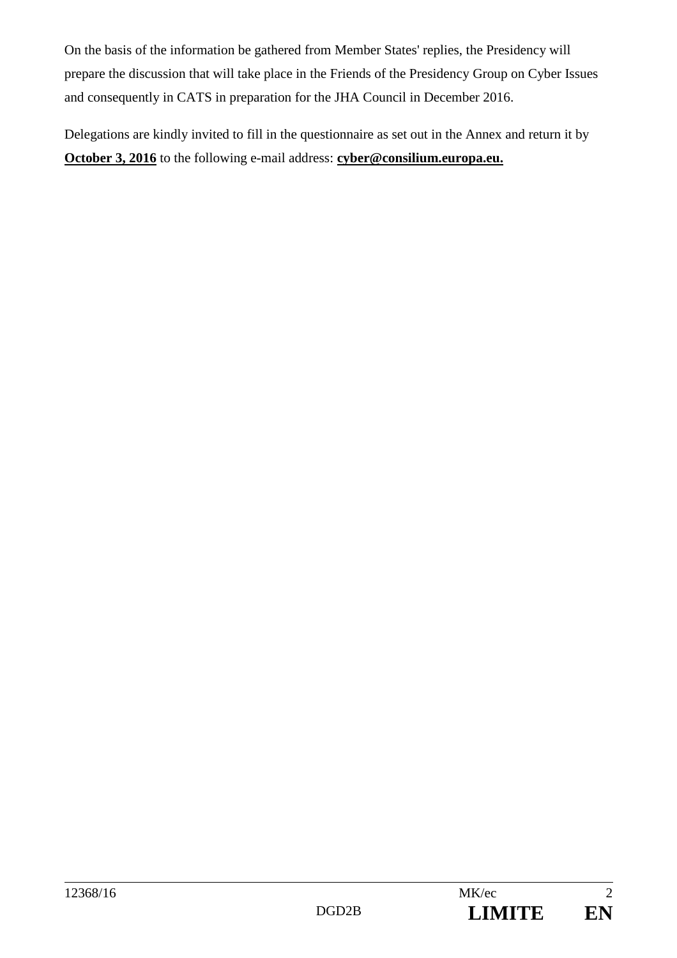On the basis of the information be gathered from Member States' replies, the Presidency will prepare the discussion that will take place in the Friends of the Presidency Group on Cyber Issues and consequently in CATS in preparation for the JHA Council in December 2016.

Delegations are kindly invited to fill in the questionnaire as set out in the Annex and return it by **October 3, 2016** to the following e-mail address: **cyber@consilium.europa.eu.**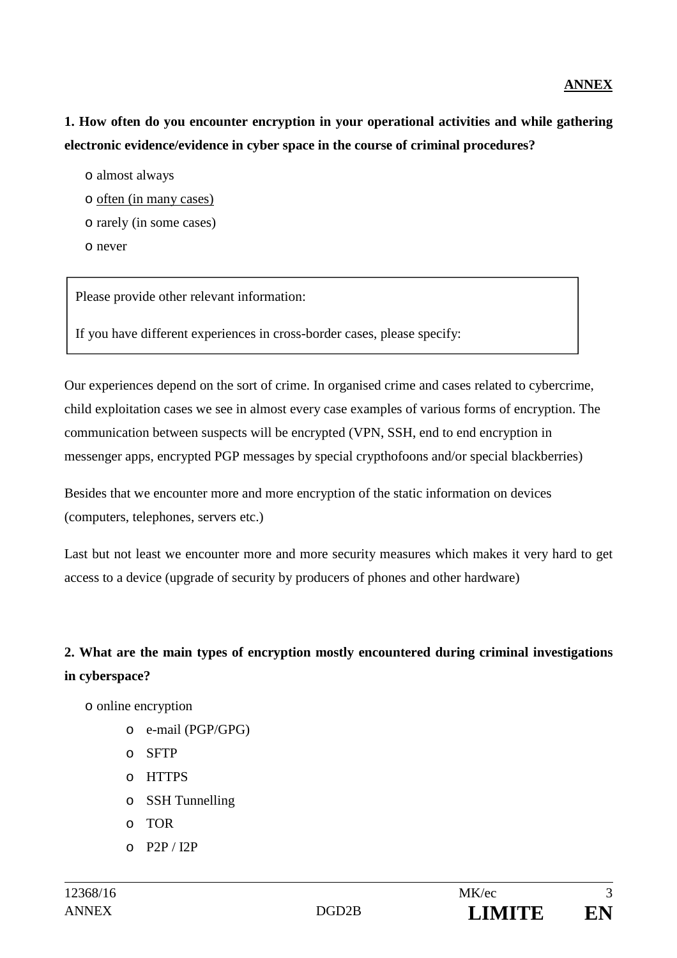#### **ANNEX**

**1. How often do you encounter encryption in your operational activities and while gathering electronic evidence/evidence in cyber space in the course of criminal procedures?** 

- o almost always
- o often (in many cases)
- o rarely (in some cases)
- o never

Please provide other relevant information:

If you have different experiences in cross-border cases, please specify:

Our experiences depend on the sort of crime. In organised crime and cases related to cybercrime, child exploitation cases we see in almost every case examples of various forms of encryption. The communication between suspects will be encrypted (VPN, SSH, end to end encryption in messenger apps, encrypted PGP messages by special crypthofoons and/or special blackberries)

Besides that we encounter more and more encryption of the static information on devices (computers, telephones, servers etc.)

Last but not least we encounter more and more security measures which makes it very hard to get access to a device (upgrade of security by producers of phones and other hardware)

# **2. What are the main types of encryption mostly encountered during criminal investigations in cyberspace?**

- o online encryption
	- o e-mail (PGP/GPG)
	- o SFTP
	- o HTTPS
	- o SSH Tunnelling
	- o TOR
	- o P2P / I2P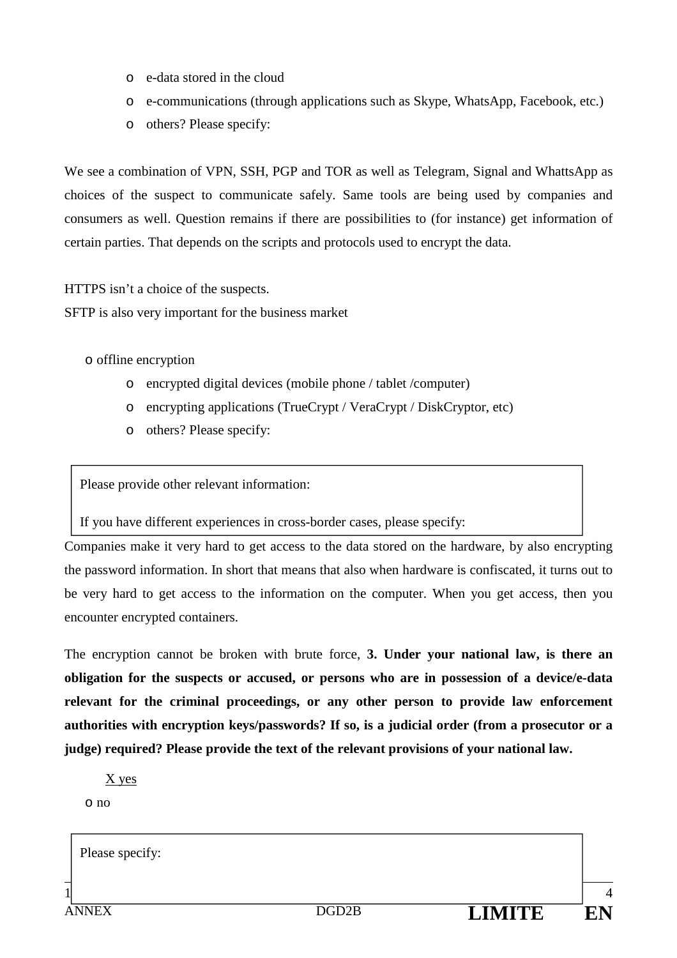- o e-data stored in the cloud
- o e-communications (through applications such as Skype, WhatsApp, Facebook, etc.)
- o others? Please specify:

We see a combination of VPN, SSH, PGP and TOR as well as Telegram, Signal and WhattsApp as choices of the suspect to communicate safely. Same tools are being used by companies and consumers as well. Question remains if there are possibilities to (for instance) get information of certain parties. That depends on the scripts and protocols used to encrypt the data.

HTTPS isn't a choice of the suspects.

SFTP is also very important for the business market

o offline encryption

- o encrypted digital devices (mobile phone / tablet /computer)
- o encrypting applications (TrueCrypt / VeraCrypt / DiskCryptor, etc)
- o others? Please specify:

Please provide other relevant information:

If you have different experiences in cross-border cases, please specify:

Companies make it very hard to get access to the data stored on the hardware, by also encrypting the password information. In short that means that also when hardware is confiscated, it turns out to be very hard to get access to the information on the computer. When you get access, then you encounter encrypted containers.

The encryption cannot be broken with brute force, **3. Under your national law, is there an obligation for the suspects or accused, or persons who are in possession of a device/e-data relevant for the criminal proceedings, or any other person to provide law enforcement authorities with encryption keys/passwords? If so, is a judicial order (from a prosecutor or a judge) required? Please provide the text of the relevant provisions of your national law.** 

X yes

o no

 $1$  4 ANNEX DGD2B **LIMITE EN** Please specify: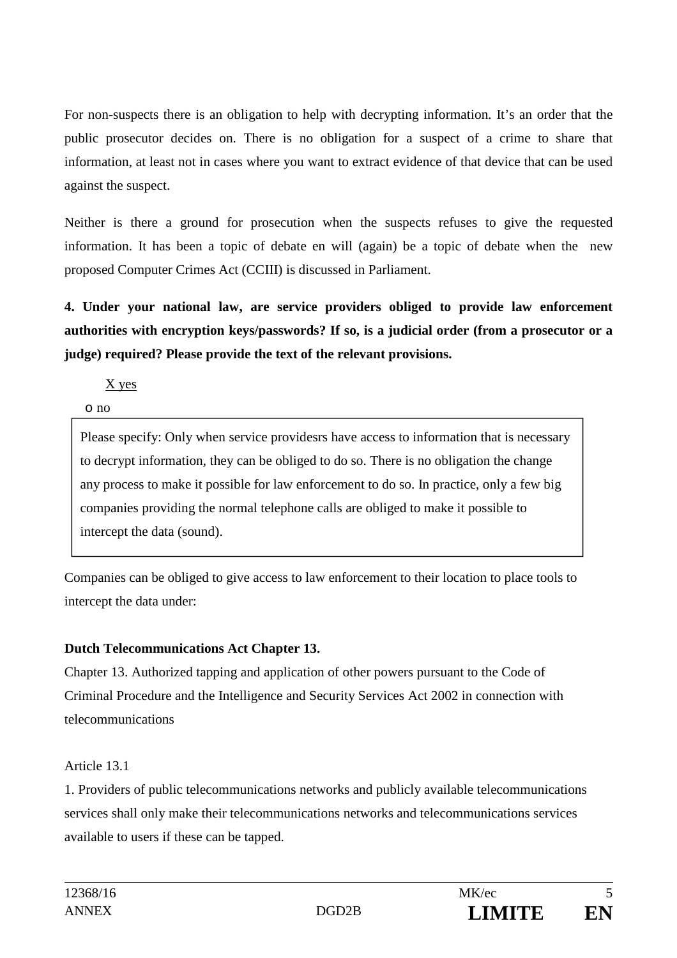For non-suspects there is an obligation to help with decrypting information. It's an order that the public prosecutor decides on. There is no obligation for a suspect of a crime to share that information, at least not in cases where you want to extract evidence of that device that can be used against the suspect.

Neither is there a ground for prosecution when the suspects refuses to give the requested information. It has been a topic of debate en will (again) be a topic of debate when the new proposed Computer Crimes Act (CCIII) is discussed in Parliament.

**4. Under your national law, are service providers obliged to provide law enforcement authorities with encryption keys/passwords? If so, is a judicial order (from a prosecutor or a judge) required? Please provide the text of the relevant provisions.** 

X yes

o no

Please specify: Only when service providesrs have access to information that is necessary to decrypt information, they can be obliged to do so. There is no obligation the change any process to make it possible for law enforcement to do so. In practice, only a few big companies providing the normal telephone calls are obliged to make it possible to intercept the data (sound).

Companies can be obliged to give access to law enforcement to their location to place tools to intercept the data under:

## **Dutch Telecommunications Act Chapter 13.**

Chapter 13. Authorized tapping and application of other powers pursuant to the Code of Criminal Procedure and the Intelligence and Security Services Act 2002 in connection with telecommunications

Article 13.1

1. Providers of public telecommunications networks and publicly available telecommunications services shall only make their telecommunications networks and telecommunications services available to users if these can be tapped.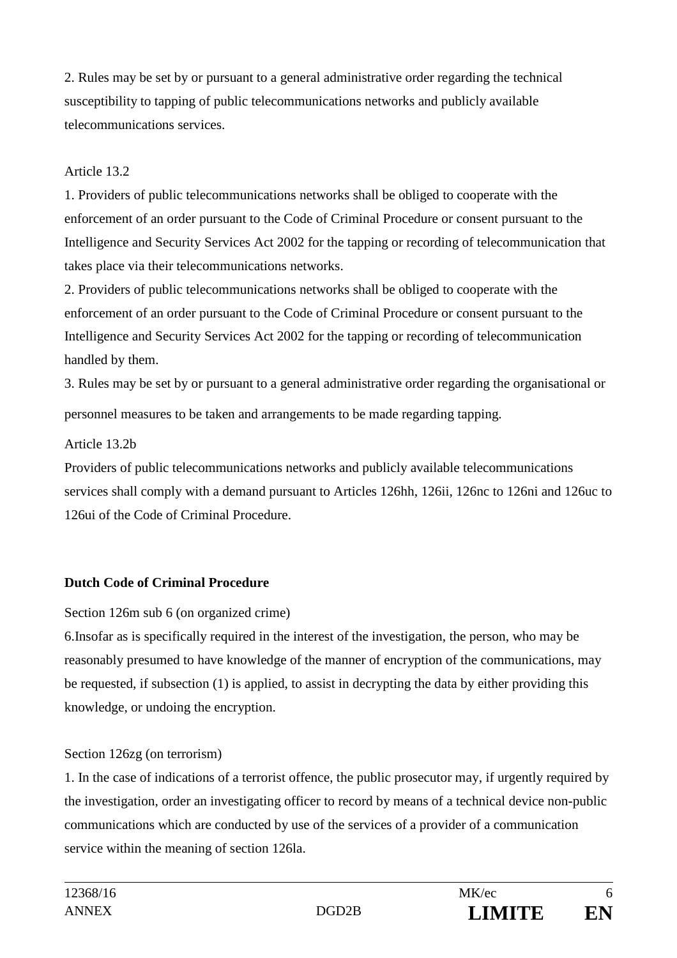2. Rules may be set by or pursuant to a general administrative order regarding the technical susceptibility to tapping of public telecommunications networks and publicly available telecommunications services.

#### Article 13.2

1. Providers of public telecommunications networks shall be obliged to cooperate with the enforcement of an order pursuant to the Code of Criminal Procedure or consent pursuant to the Intelligence and Security Services Act 2002 for the tapping or recording of telecommunication that takes place via their telecommunications networks.

2. Providers of public telecommunications networks shall be obliged to cooperate with the enforcement of an order pursuant to the Code of Criminal Procedure or consent pursuant to the Intelligence and Security Services Act 2002 for the tapping or recording of telecommunication handled by them.

3. Rules may be set by or pursuant to a general administrative order regarding the organisational or personnel measures to be taken and arrangements to be made regarding tapping.

#### Article 13.2b

Providers of public telecommunications networks and publicly available telecommunications services shall comply with a demand pursuant to Articles 126hh, 126ii, 126nc to 126ni and 126uc to 126ui of the Code of Criminal Procedure.

### **Dutch Code of Criminal Procedure**

### Section 126m sub 6 (on organized crime)

6.Insofar as is specifically required in the interest of the investigation, the person, who may be reasonably presumed to have knowledge of the manner of encryption of the communications, may be requested, if subsection (1) is applied, to assist in decrypting the data by either providing this knowledge, or undoing the encryption.

### Section 126zg (on terrorism)

1. In the case of indications of a terrorist offence, the public prosecutor may, if urgently required by the investigation, order an investigating officer to record by means of a technical device non-public communications which are conducted by use of the services of a provider of a communication service within the meaning of section 126la.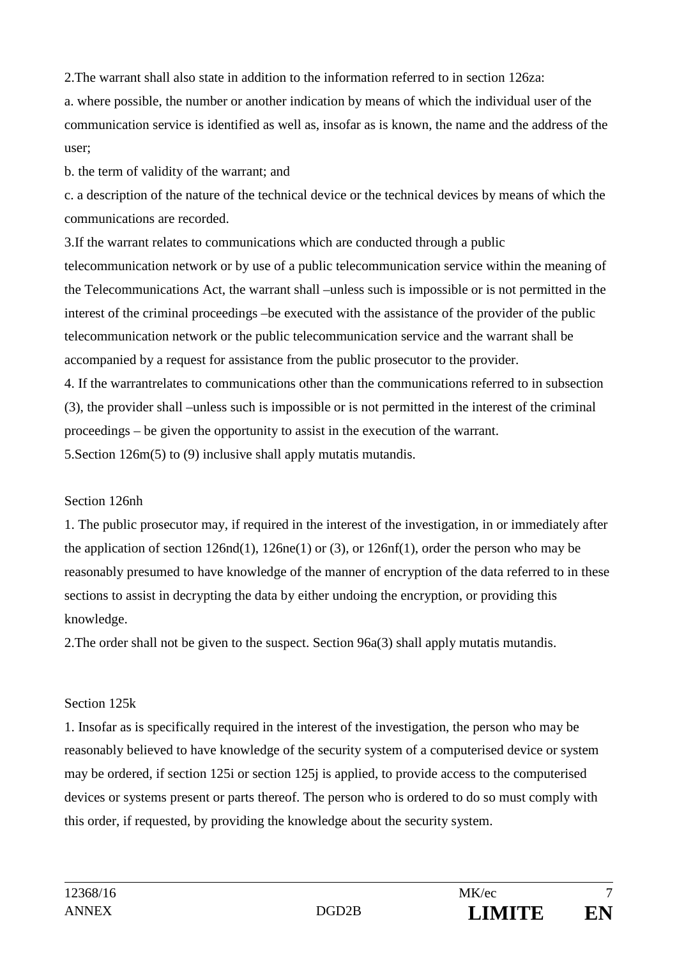2.The warrant shall also state in addition to the information referred to in section 126za:

a. where possible, the number or another indication by means of which the individual user of the communication service is identified as well as, insofar as is known, the name and the address of the user;

b. the term of validity of the warrant; and

c. a description of the nature of the technical device or the technical devices by means of which the communications are recorded.

3.If the warrant relates to communications which are conducted through a public telecommunication network or by use of a public telecommunication service within the meaning of the Telecommunications Act, the warrant shall –unless such is impossible or is not permitted in the interest of the criminal proceedings –be executed with the assistance of the provider of the public telecommunication network or the public telecommunication service and the warrant shall be accompanied by a request for assistance from the public prosecutor to the provider.

4. If the warrantrelates to communications other than the communications referred to in subsection (3), the provider shall –unless such is impossible or is not permitted in the interest of the criminal proceedings – be given the opportunity to assist in the execution of the warrant. 5.Section 126m(5) to (9) inclusive shall apply mutatis mutandis.

### Section 126nh

1. The public prosecutor may, if required in the interest of the investigation, in or immediately after the application of section 126nd(1), 126ne(1) or (3), or 126nf(1), order the person who may be reasonably presumed to have knowledge of the manner of encryption of the data referred to in these sections to assist in decrypting the data by either undoing the encryption, or providing this knowledge.

2.The order shall not be given to the suspect. Section 96a(3) shall apply mutatis mutandis.

### Section 125k

1. Insofar as is specifically required in the interest of the investigation, the person who may be reasonably believed to have knowledge of the security system of a computerised device or system may be ordered, if section 125i or section 125j is applied, to provide access to the computerised devices or systems present or parts thereof. The person who is ordered to do so must comply with this order, if requested, by providing the knowledge about the security system.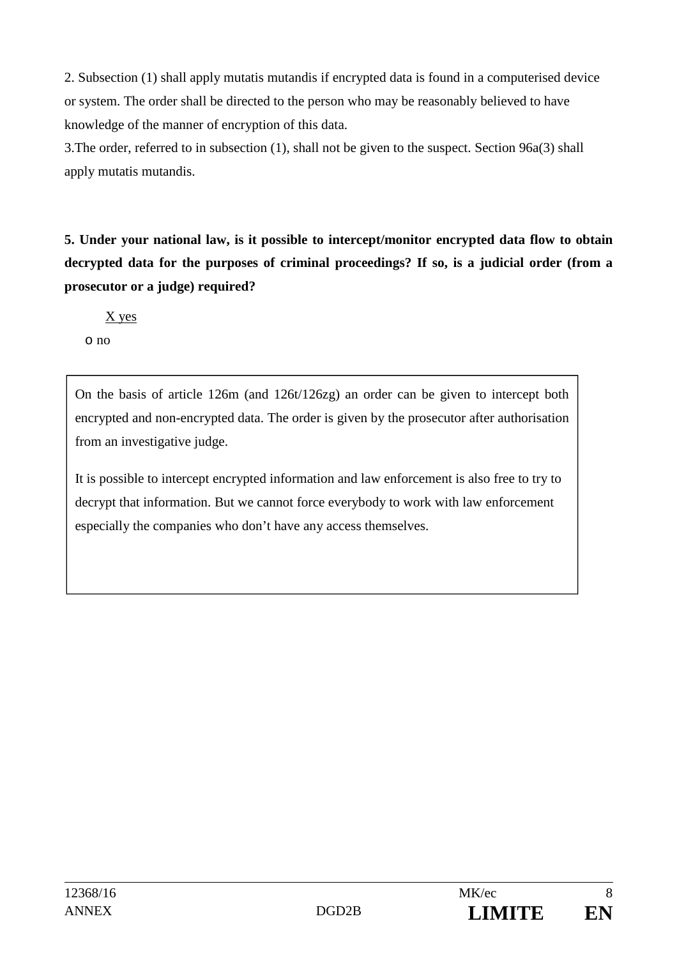2. Subsection (1) shall apply mutatis mutandis if encrypted data is found in a computerised device or system. The order shall be directed to the person who may be reasonably believed to have knowledge of the manner of encryption of this data.

3.The order, referred to in subsection (1), shall not be given to the suspect. Section 96a(3) shall apply mutatis mutandis.

**5. Under your national law, is it possible to intercept/monitor encrypted data flow to obtain decrypted data for the purposes of criminal proceedings? If so, is a judicial order (from a prosecutor or a judge) required?** 

X yes

o no

On the basis of article 126m (and 126t/126zg) an order can be given to intercept both encrypted and non-encrypted data. The order is given by the prosecutor after authorisation from an investigative judge.

It is possible to intercept encrypted information and law enforcement is also free to try to decrypt that information. But we cannot force everybody to work with law enforcement especially the companies who don't have any access themselves.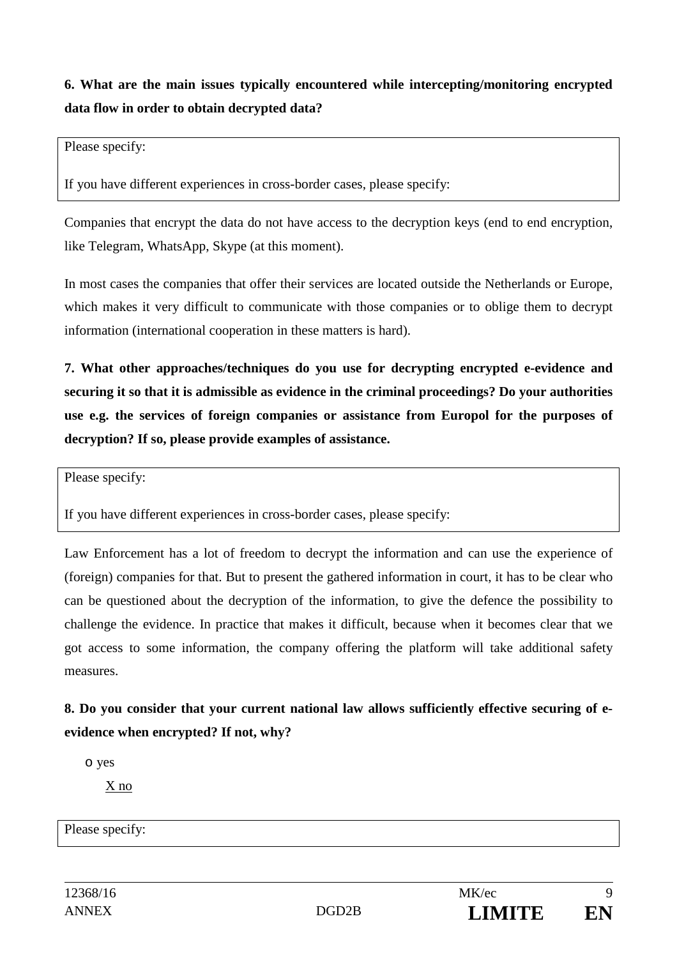**6. What are the main issues typically encountered while intercepting/monitoring encrypted data flow in order to obtain decrypted data?** 

Please specify:

If you have different experiences in cross-border cases, please specify:

Companies that encrypt the data do not have access to the decryption keys (end to end encryption, like Telegram, WhatsApp, Skype (at this moment).

In most cases the companies that offer their services are located outside the Netherlands or Europe, which makes it very difficult to communicate with those companies or to oblige them to decrypt information (international cooperation in these matters is hard).

**7. What other approaches/techniques do you use for decrypting encrypted e-evidence and securing it so that it is admissible as evidence in the criminal proceedings? Do your authorities use e.g. the services of foreign companies or assistance from Europol for the purposes of decryption? If so, please provide examples of assistance.** 

Please specify:

If you have different experiences in cross-border cases, please specify:

Law Enforcement has a lot of freedom to decrypt the information and can use the experience of (foreign) companies for that. But to present the gathered information in court, it has to be clear who can be questioned about the decryption of the information, to give the defence the possibility to challenge the evidence. In practice that makes it difficult, because when it becomes clear that we got access to some information, the company offering the platform will take additional safety measures.

**8. Do you consider that your current national law allows sufficiently effective securing of eevidence when encrypted? If not, why?** 

o yes

X no

Please specify: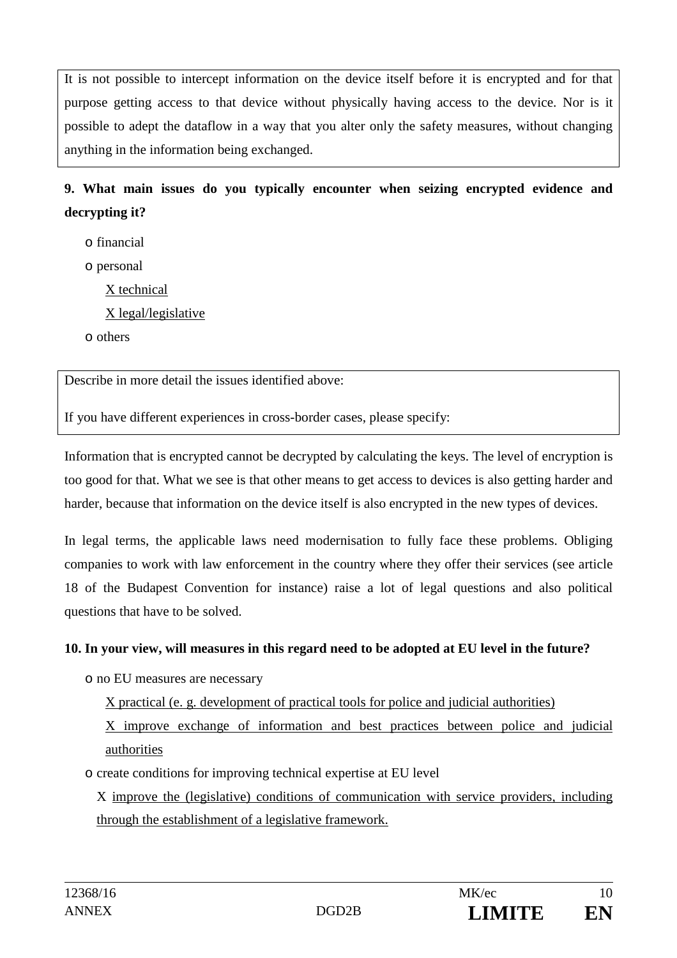It is not possible to intercept information on the device itself before it is encrypted and for that purpose getting access to that device without physically having access to the device. Nor is it possible to adept the dataflow in a way that you alter only the safety measures, without changing anything in the information being exchanged.

**9. What main issues do you typically encounter when seizing encrypted evidence and decrypting it?** 

o financial

o personal

X technical

X legal/legislative

o others

Describe in more detail the issues identified above:

If you have different experiences in cross-border cases, please specify:

Information that is encrypted cannot be decrypted by calculating the keys. The level of encryption is too good for that. What we see is that other means to get access to devices is also getting harder and harder, because that information on the device itself is also encrypted in the new types of devices.

In legal terms, the applicable laws need modernisation to fully face these problems. Obliging companies to work with law enforcement in the country where they offer their services (see article 18 of the Budapest Convention for instance) raise a lot of legal questions and also political questions that have to be solved.

#### **10. In your view, will measures in this regard need to be adopted at EU level in the future?**

o no EU measures are necessary

X practical (e. g. development of practical tools for police and judicial authorities)

X improve exchange of information and best practices between police and judicial authorities

o create conditions for improving technical expertise at EU level

X improve the (legislative) conditions of communication with service providers, including through the establishment of a legislative framework.